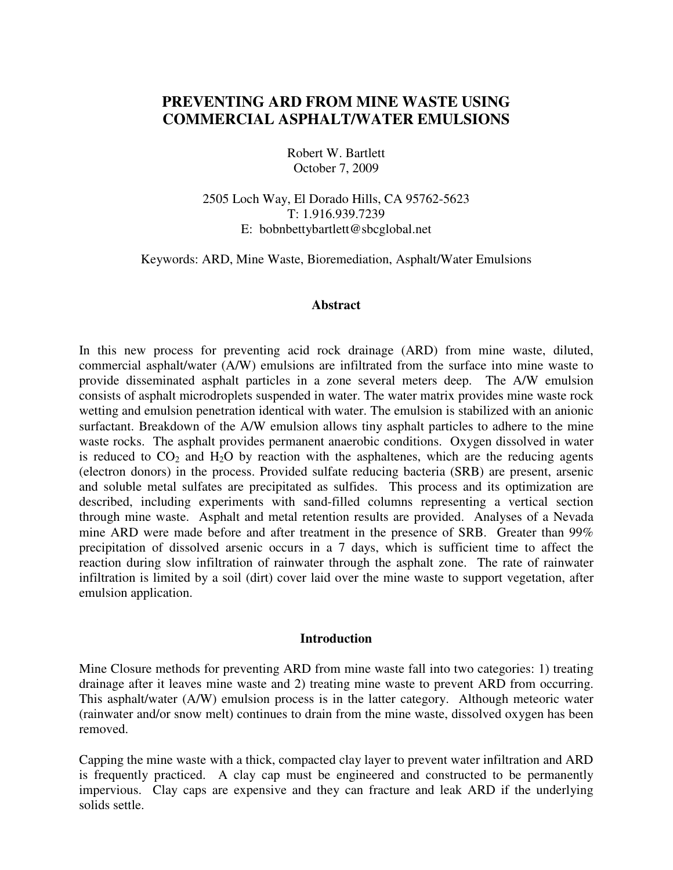# **PREVENTING ARD FROM MINE WASTE USING COMMERCIAL ASPHALT/WATER EMULSIONS**

Robert W. Bartlett October 7, 2009

2505 Loch Way, El Dorado Hills, CA 95762-5623 T: 1.916.939.7239 E: bobnbettybartlett@sbcglobal.net

Keywords: ARD, Mine Waste, Bioremediation, Asphalt/Water Emulsions

#### **Abstract**

In this new process for preventing acid rock drainage (ARD) from mine waste, diluted, commercial asphalt/water (A/W) emulsions are infiltrated from the surface into mine waste to provide disseminated asphalt particles in a zone several meters deep. The A/W emulsion consists of asphalt microdroplets suspended in water. The water matrix provides mine waste rock wetting and emulsion penetration identical with water. The emulsion is stabilized with an anionic surfactant. Breakdown of the A/W emulsion allows tiny asphalt particles to adhere to the mine waste rocks. The asphalt provides permanent anaerobic conditions. Oxygen dissolved in water is reduced to  $CO_2$  and  $H_2O$  by reaction with the asphaltenes, which are the reducing agents (electron donors) in the process. Provided sulfate reducing bacteria (SRB) are present, arsenic and soluble metal sulfates are precipitated as sulfides. This process and its optimization are described, including experiments with sand-filled columns representing a vertical section through mine waste. Asphalt and metal retention results are provided. Analyses of a Nevada mine ARD were made before and after treatment in the presence of SRB. Greater than 99% precipitation of dissolved arsenic occurs in a 7 days, which is sufficient time to affect the reaction during slow infiltration of rainwater through the asphalt zone. The rate of rainwater infiltration is limited by a soil (dirt) cover laid over the mine waste to support vegetation, after emulsion application.

#### **Introduction**

Mine Closure methods for preventing ARD from mine waste fall into two categories: 1) treating drainage after it leaves mine waste and 2) treating mine waste to prevent ARD from occurring. This asphalt/water (A/W) emulsion process is in the latter category. Although meteoric water (rainwater and/or snow melt) continues to drain from the mine waste, dissolved oxygen has been removed.

Capping the mine waste with a thick, compacted clay layer to prevent water infiltration and ARD is frequently practiced. A clay cap must be engineered and constructed to be permanently impervious. Clay caps are expensive and they can fracture and leak ARD if the underlying solids settle.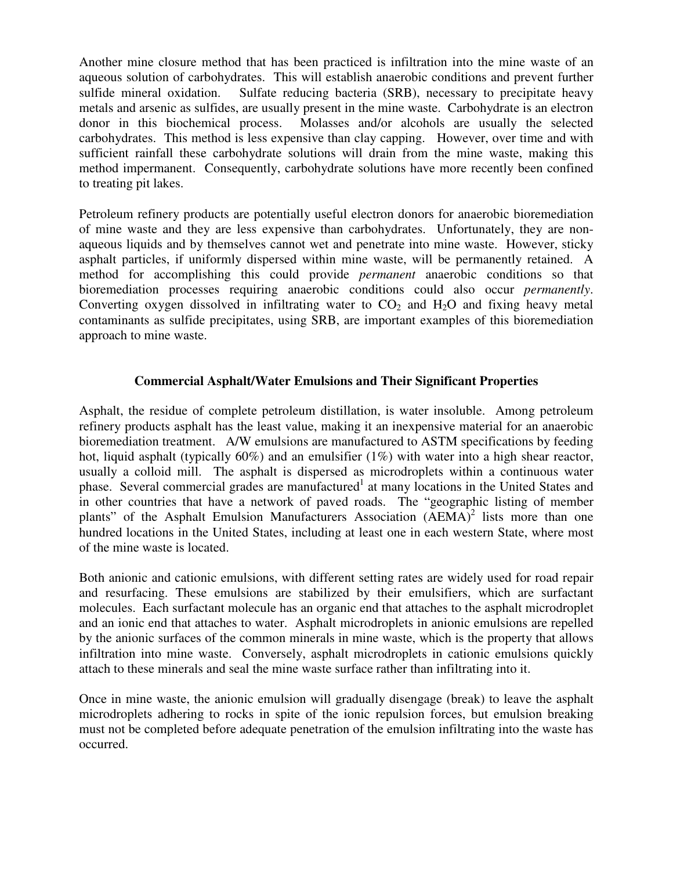Another mine closure method that has been practiced is infiltration into the mine waste of an aqueous solution of carbohydrates. This will establish anaerobic conditions and prevent further sulfide mineral oxidation. Sulfate reducing bacteria (SRB), necessary to precipitate heavy metals and arsenic as sulfides, are usually present in the mine waste. Carbohydrate is an electron donor in this biochemical process. Molasses and/or alcohols are usually the selected carbohydrates. This method is less expensive than clay capping. However, over time and with sufficient rainfall these carbohydrate solutions will drain from the mine waste, making this method impermanent. Consequently, carbohydrate solutions have more recently been confined to treating pit lakes.

Petroleum refinery products are potentially useful electron donors for anaerobic bioremediation of mine waste and they are less expensive than carbohydrates. Unfortunately, they are nonaqueous liquids and by themselves cannot wet and penetrate into mine waste. However, sticky asphalt particles, if uniformly dispersed within mine waste, will be permanently retained. A method for accomplishing this could provide *permanent* anaerobic conditions so that bioremediation processes requiring anaerobic conditions could also occur *permanently*. Converting oxygen dissolved in infiltrating water to  $CO<sub>2</sub>$  and  $H<sub>2</sub>O$  and fixing heavy metal contaminants as sulfide precipitates, using SRB, are important examples of this bioremediation approach to mine waste.

# **Commercial Asphalt/Water Emulsions and Their Significant Properties**

Asphalt, the residue of complete petroleum distillation, is water insoluble. Among petroleum refinery products asphalt has the least value, making it an inexpensive material for an anaerobic bioremediation treatment. A/W emulsions are manufactured to ASTM specifications by feeding hot, liquid asphalt (typically  $60\%$ ) and an emulsifier (1%) with water into a high shear reactor, usually a colloid mill. The asphalt is dispersed as microdroplets within a continuous water phase. Several commercial grades are manufactured<sup>1</sup> at many locations in the United States and in other countries that have a network of paved roads. The "geographic listing of member plants" of the Asphalt Emulsion Manufacturers Association (AEMA)<sup>2</sup> lists more than one hundred locations in the United States, including at least one in each western State, where most of the mine waste is located.

Both anionic and cationic emulsions, with different setting rates are widely used for road repair and resurfacing. These emulsions are stabilized by their emulsifiers, which are surfactant molecules. Each surfactant molecule has an organic end that attaches to the asphalt microdroplet and an ionic end that attaches to water. Asphalt microdroplets in anionic emulsions are repelled by the anionic surfaces of the common minerals in mine waste, which is the property that allows infiltration into mine waste. Conversely, asphalt microdroplets in cationic emulsions quickly attach to these minerals and seal the mine waste surface rather than infiltrating into it.

Once in mine waste, the anionic emulsion will gradually disengage (break) to leave the asphalt microdroplets adhering to rocks in spite of the ionic repulsion forces, but emulsion breaking must not be completed before adequate penetration of the emulsion infiltrating into the waste has occurred.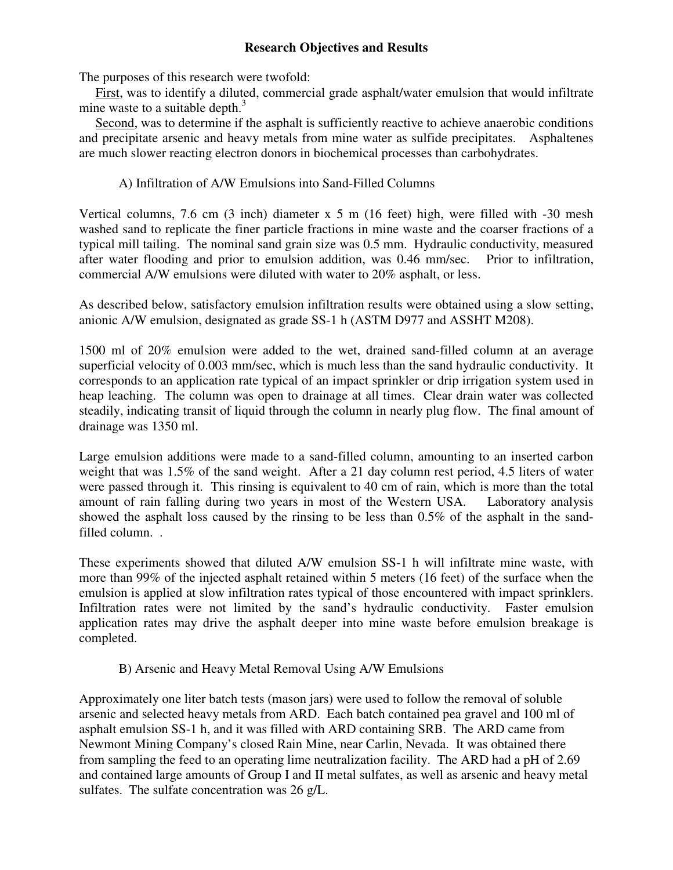# **Research Objectives and Results**

The purposes of this research were twofold:

 First, was to identify a diluted, commercial grade asphalt/water emulsion that would infiltrate mine waste to a suitable depth. $3$ 

 Second, was to determine if the asphalt is sufficiently reactive to achieve anaerobic conditions and precipitate arsenic and heavy metals from mine water as sulfide precipitates. Asphaltenes are much slower reacting electron donors in biochemical processes than carbohydrates.

# A) Infiltration of A/W Emulsions into Sand-Filled Columns

Vertical columns, 7.6 cm (3 inch) diameter x 5 m (16 feet) high, were filled with -30 mesh washed sand to replicate the finer particle fractions in mine waste and the coarser fractions of a typical mill tailing. The nominal sand grain size was 0.5 mm. Hydraulic conductivity, measured after water flooding and prior to emulsion addition, was 0.46 mm/sec. Prior to infiltration, commercial A/W emulsions were diluted with water to 20% asphalt, or less.

As described below, satisfactory emulsion infiltration results were obtained using a slow setting, anionic A/W emulsion, designated as grade SS-1 h (ASTM D977 and ASSHT M208).

1500 ml of 20% emulsion were added to the wet, drained sand-filled column at an average superficial velocity of 0.003 mm/sec, which is much less than the sand hydraulic conductivity. It corresponds to an application rate typical of an impact sprinkler or drip irrigation system used in heap leaching. The column was open to drainage at all times. Clear drain water was collected steadily, indicating transit of liquid through the column in nearly plug flow. The final amount of drainage was 1350 ml.

Large emulsion additions were made to a sand-filled column, amounting to an inserted carbon weight that was 1.5% of the sand weight. After a 21 day column rest period, 4.5 liters of water were passed through it. This rinsing is equivalent to 40 cm of rain, which is more than the total amount of rain falling during two years in most of the Western USA. Laboratory analysis showed the asphalt loss caused by the rinsing to be less than 0.5% of the asphalt in the sandfilled column. .

These experiments showed that diluted A/W emulsion SS-1 h will infiltrate mine waste, with more than 99% of the injected asphalt retained within 5 meters (16 feet) of the surface when the emulsion is applied at slow infiltration rates typical of those encountered with impact sprinklers. Infiltration rates were not limited by the sand's hydraulic conductivity. Faster emulsion application rates may drive the asphalt deeper into mine waste before emulsion breakage is completed.

B) Arsenic and Heavy Metal Removal Using A/W Emulsions

Approximately one liter batch tests (mason jars) were used to follow the removal of soluble arsenic and selected heavy metals from ARD. Each batch contained pea gravel and 100 ml of asphalt emulsion SS-1 h, and it was filled with ARD containing SRB. The ARD came from Newmont Mining Company's closed Rain Mine, near Carlin, Nevada. It was obtained there from sampling the feed to an operating lime neutralization facility. The ARD had a pH of 2.69 and contained large amounts of Group I and II metal sulfates, as well as arsenic and heavy metal sulfates. The sulfate concentration was 26 g/L.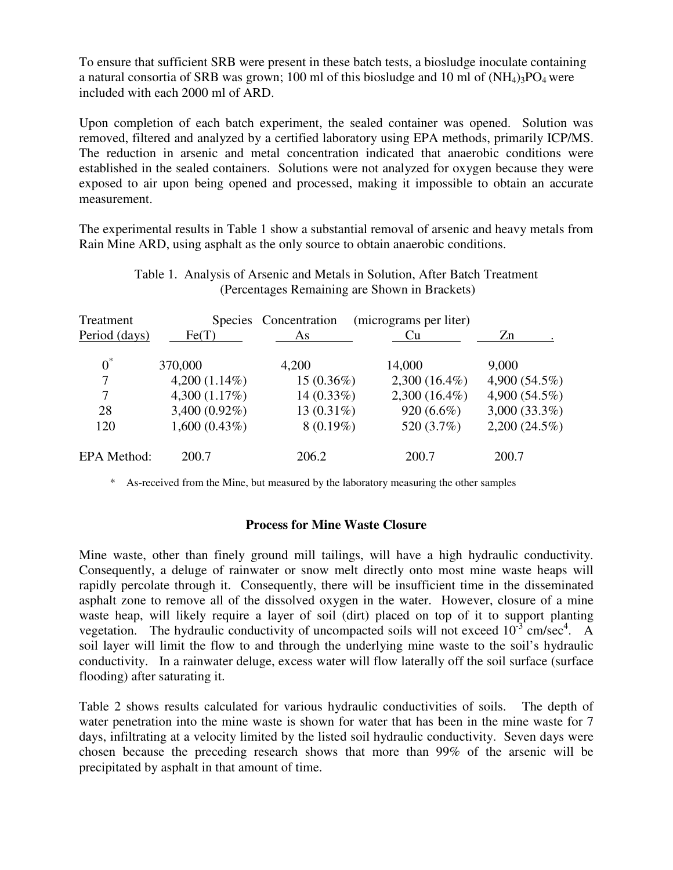To ensure that sufficient SRB were present in these batch tests, a biosludge inoculate containing a natural consortia of SRB was grown; 100 ml of this biosludge and 10 ml of  $(NH_4)3PO_4$  were included with each 2000 ml of ARD.

Upon completion of each batch experiment, the sealed container was opened. Solution was removed, filtered and analyzed by a certified laboratory using EPA methods, primarily ICP/MS. The reduction in arsenic and metal concentration indicated that anaerobic conditions were established in the sealed containers. Solutions were not analyzed for oxygen because they were exposed to air upon being opened and processed, making it impossible to obtain an accurate measurement.

The experimental results in Table 1 show a substantial removal of arsenic and heavy metals from Rain Mine ARD, using asphalt as the only source to obtain anaerobic conditions.

| Treatment          | <b>Species</b>  | Concentration | (micrograms per liter) |                 |
|--------------------|-----------------|---------------|------------------------|-----------------|
| Period (days)      | Fe(T)           | As            | Cu                     | Zn              |
| $0^*$              | 370,000         | 4,200         | 14,000                 | 9,000           |
| 7                  | $4,200(1.14\%)$ | $15(0.36\%)$  | $2,300(16.4\%)$        | 4,900 (54.5%)   |
| 7                  | 4,300 (1.17%)   | $14(0.33\%)$  | $2,300(16.4\%)$        | 4,900 (54.5%)   |
| 28                 | 3,400 (0.92%)   | 13 $(0.31\%)$ | 920 (6.6%)             | $3,000(33.3\%)$ |
| 120                | $1,600(0.43\%)$ | $8(0.19\%)$   | 520 (3.7%)             | $2,200(24.5\%)$ |
| <b>EPA</b> Method: | 200.7           | 206.2         | 200.7                  | 200.7           |

Table 1. Analysis of Arsenic and Metals in Solution, After Batch Treatment (Percentages Remaining are Shown in Brackets)

\* As-received from the Mine, but measured by the laboratory measuring the other samples

### **Process for Mine Waste Closure**

Mine waste, other than finely ground mill tailings, will have a high hydraulic conductivity. Consequently, a deluge of rainwater or snow melt directly onto most mine waste heaps will rapidly percolate through it. Consequently, there will be insufficient time in the disseminated asphalt zone to remove all of the dissolved oxygen in the water. However, closure of a mine waste heap, will likely require a layer of soil (dirt) placed on top of it to support planting vegetation. The hydraulic conductivity of uncompacted soils will not exceed  $10^{-3}$  cm/sec<sup>4</sup>. A soil layer will limit the flow to and through the underlying mine waste to the soil's hydraulic conductivity. In a rainwater deluge, excess water will flow laterally off the soil surface (surface flooding) after saturating it.

Table 2 shows results calculated for various hydraulic conductivities of soils. The depth of water penetration into the mine waste is shown for water that has been in the mine waste for 7 days, infiltrating at a velocity limited by the listed soil hydraulic conductivity. Seven days were chosen because the preceding research shows that more than 99% of the arsenic will be precipitated by asphalt in that amount of time.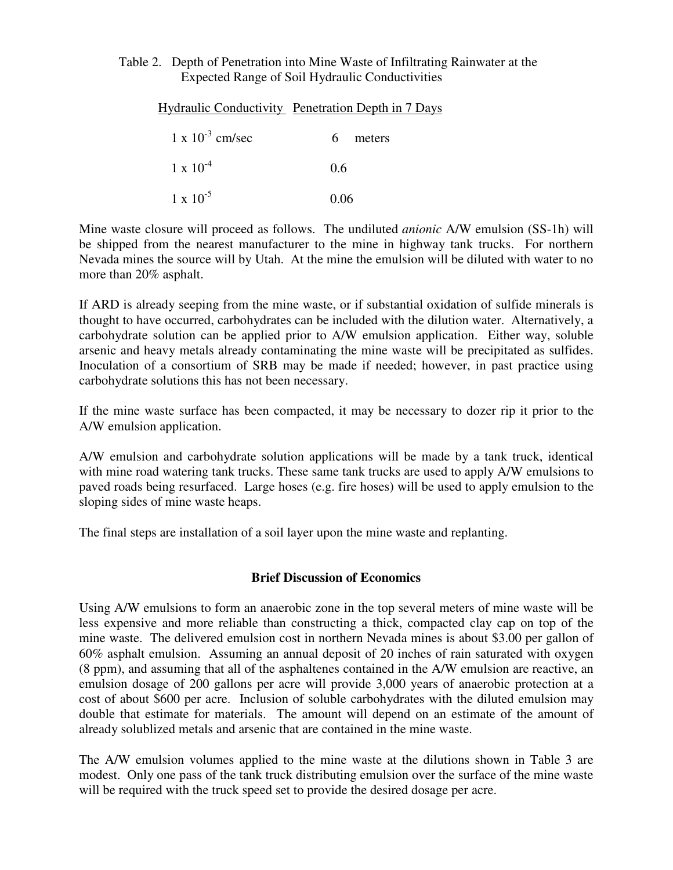### Table 2. Depth of Penetration into Mine Waste of Infiltrating Rainwater at the Expected Range of Soil Hydraulic Conductivities

|                           | <b>Hydraulic Conductivity</b> Penetration Depth in 7 Days |
|---------------------------|-----------------------------------------------------------|
| $1 \times 10^{-3}$ cm/sec | meters<br>h                                               |
| $1 \times 10^{-4}$        | 0.6                                                       |
| $1 \times 10^{-5}$        | 0.06                                                      |

Mine waste closure will proceed as follows. The undiluted *anionic* A/W emulsion (SS-1h) will be shipped from the nearest manufacturer to the mine in highway tank trucks. For northern Nevada mines the source will by Utah. At the mine the emulsion will be diluted with water to no more than 20% asphalt.

If ARD is already seeping from the mine waste, or if substantial oxidation of sulfide minerals is thought to have occurred, carbohydrates can be included with the dilution water. Alternatively, a carbohydrate solution can be applied prior to A/W emulsion application. Either way, soluble arsenic and heavy metals already contaminating the mine waste will be precipitated as sulfides. Inoculation of a consortium of SRB may be made if needed; however, in past practice using carbohydrate solutions this has not been necessary.

If the mine waste surface has been compacted, it may be necessary to dozer rip it prior to the A/W emulsion application.

A/W emulsion and carbohydrate solution applications will be made by a tank truck, identical with mine road watering tank trucks. These same tank trucks are used to apply A/W emulsions to paved roads being resurfaced. Large hoses (e.g. fire hoses) will be used to apply emulsion to the sloping sides of mine waste heaps.

The final steps are installation of a soil layer upon the mine waste and replanting.

# **Brief Discussion of Economics**

Using A/W emulsions to form an anaerobic zone in the top several meters of mine waste will be less expensive and more reliable than constructing a thick, compacted clay cap on top of the mine waste. The delivered emulsion cost in northern Nevada mines is about \$3.00 per gallon of 60% asphalt emulsion. Assuming an annual deposit of 20 inches of rain saturated with oxygen (8 ppm), and assuming that all of the asphaltenes contained in the A/W emulsion are reactive, an emulsion dosage of 200 gallons per acre will provide 3,000 years of anaerobic protection at a cost of about \$600 per acre. Inclusion of soluble carbohydrates with the diluted emulsion may double that estimate for materials. The amount will depend on an estimate of the amount of already solublized metals and arsenic that are contained in the mine waste.

The A/W emulsion volumes applied to the mine waste at the dilutions shown in Table 3 are modest. Only one pass of the tank truck distributing emulsion over the surface of the mine waste will be required with the truck speed set to provide the desired dosage per acre.